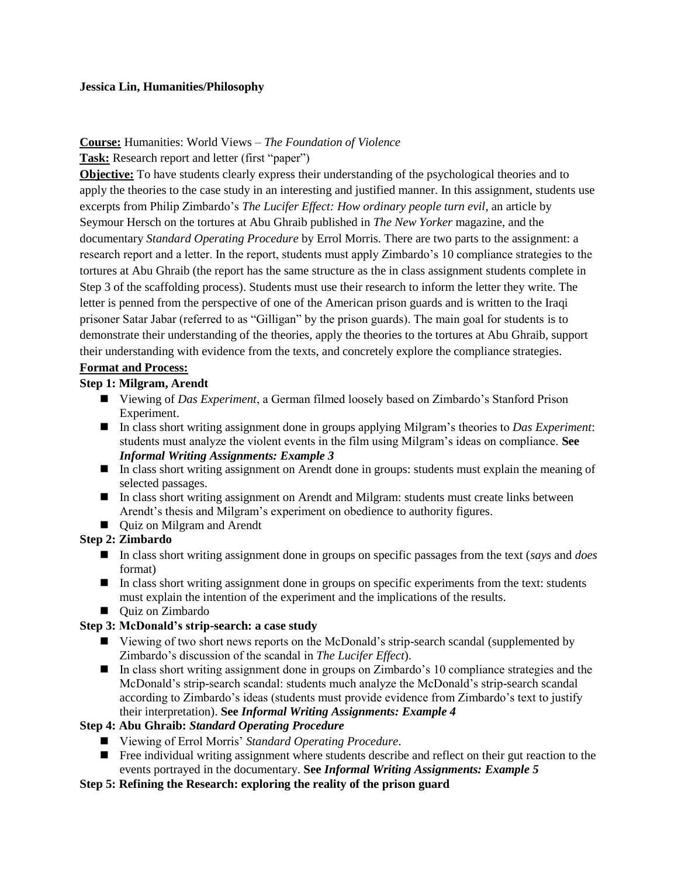#### **Jessica Lin, Humanities/Philosophy**

#### **Course:** Humanities: World Views – *The Foundation of Violence*

**Task:** Research report and letter (first "paper")

**Objective:** To have students clearly express their understanding of the psychological theories and to apply the theories to the case study in an interesting and justified manner. In this assignment, students use excerpts from Philip Zimbardo's *The Lucifer Effect: How ordinary people turn evil*, an article by Seymour Hersch on the tortures at Abu Ghraib published in *The New Yorker* magazine, and the documentary *Standard Operating Procedure* by Errol Morris. There are two parts to the assignment: a research report and a letter. In the report, students must apply Zimbardo's 10 compliance strategies to the tortures at Abu Ghraib (the report has the same structure as the in class assignment students complete in Step 3 of the scaffolding process). Students must use their research to inform the letter they write. The letter is penned from the perspective of one of the American prison guards and is written to the Iraqi prisoner Satar Jabar (referred to as "Gilligan" by the prison guards). The main goal for students is to demonstrate their understanding of the theories, apply the theories to the tortures at Abu Ghraib, support their understanding with evidence from the texts, and concretely explore the compliance strategies.

# **Format and Process:**

#### **Step 1: Milgram, Arendt**

- Viewing of *Das Experiment*, a German filmed loosely based on Zimbardo's Stanford Prison Experiment.
- In class short writing assignment done in groups applying Milgram's theories to *Das Experiment*: students must analyze the violent events in the film using Milgram's ideas on compliance. **See**  *Informal Writing Assignments: Example 3*
- In class short writing assignment on Arendt done in groups: students must explain the meaning of selected passages.
- In class short writing assignment on Arendt and Milgram: students must create links between Arendt's thesis and Milgram's experiment on obedience to authority figures.
- Quiz on Milgram and Arendt

# **Step 2: Zimbardo**

- In class short writing assignment done in groups on specific passages from the text (*says* and *does*  format)
- In class short writing assignment done in groups on specific experiments from the text: students must explain the intention of the experiment and the implications of the results.
- Quiz on Zimbardo

# **Step 3: McDonald's strip-search: a case study**

- Viewing of two short news reports on the McDonald's strip-search scandal (supplemented by Zimbardo's discussion of the scandal in *The Lucifer Effect*).
- In class short writing assignment done in groups on Zimbardo's 10 compliance strategies and the McDonald's strip-search scandal: students much analyze the McDonald's strip-search scandal according to Zimbardo's ideas (students must provide evidence from Zimbardo's text to justify their interpretation). **See** *Informal Writing Assignments: Example 4*

# **Step 4: Abu Ghraib:** *Standard Operating Procedure*

- Viewing of Errol Morris' *Standard Operating Procedure*.
- Free individual writing assignment where students describe and reflect on their gut reaction to the events portrayed in the documentary. **See** *Informal Writing Assignments: Example 5*

#### **Step 5: Refining the Research: exploring the reality of the prison guard**